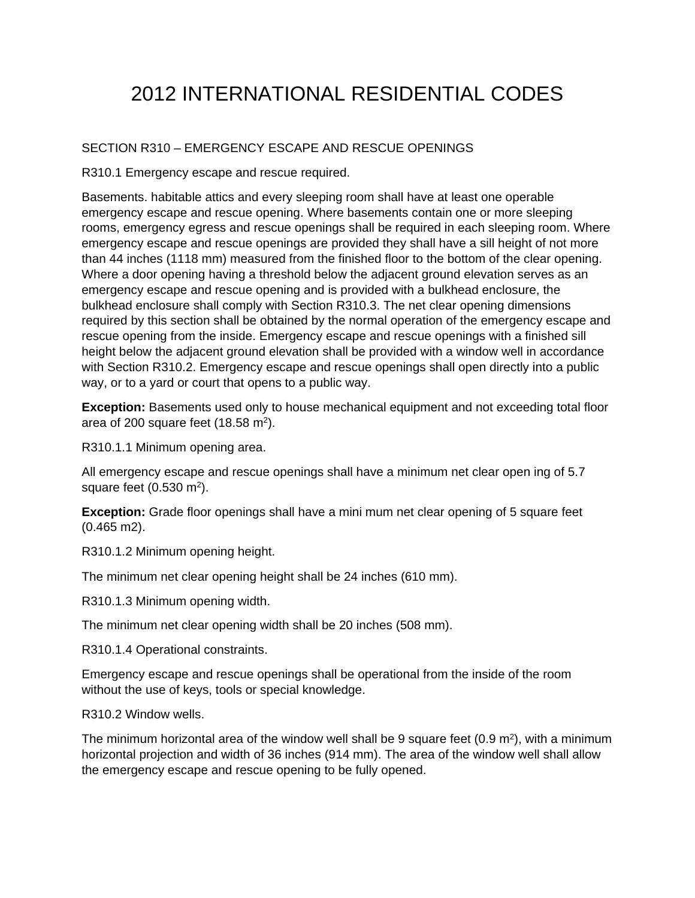## 2012 INTERNATIONAL RESIDENTIAL CODES

## SECTION R310 – EMERGENCY ESCAPE AND RESCUE OPENINGS

R310.1 Emergency escape and rescue required.

Basements. habitable attics and every sleeping room shall have at least one operable emergency escape and rescue opening. Where basements contain one or more sleeping rooms, emergency egress and rescue openings shall be required in each sleeping room. Where emergency escape and rescue openings are provided they shall have a sill height of not more than 44 inches (1118 mm) measured from the finished floor to the bottom of the clear opening. Where a door opening having a threshold below the adjacent ground elevation serves as an emergency escape and rescue opening and is provided with a bulkhead enclosure, the bulkhead enclosure shall comply with Section R310.3. The net clear opening dimensions required by this section shall be obtained by the normal operation of the emergency escape and rescue opening from the inside. Emergency escape and rescue openings with a finished sill height below the adjacent ground elevation shall be provided with a window well in accordance with Section R310.2. Emergency escape and rescue openings shall open directly into a public way, or to a yard or court that opens to a public way.

**Exception:** Basements used only to house mechanical equipment and not exceeding total floor area of 200 square feet  $(18.58 \text{ m}^2)$ .

R310.1.1 Minimum opening area.

All emergency escape and rescue openings shall have a minimum net clear open ing of 5.7 square feet  $(0.530 \text{ m}^2)$ .

**Exception:** Grade floor openings shall have a mini mum net clear opening of 5 square feet (0.465 m2).

R310.1.2 Minimum opening height.

The minimum net clear opening height shall be 24 inches (610 mm).

R310.1.3 Minimum opening width.

The minimum net clear opening width shall be 20 inches (508 mm).

R310.1.4 Operational constraints.

Emergency escape and rescue openings shall be operational from the inside of the room without the use of keys, tools or special knowledge.

R310.2 Window wells.

The minimum horizontal area of the window well shall be 9 square feet  $(0.9 \text{ m}^2)$ , with a minimum horizontal projection and width of 36 inches (914 mm). The area of the window well shall allow the emergency escape and rescue opening to be fully opened.